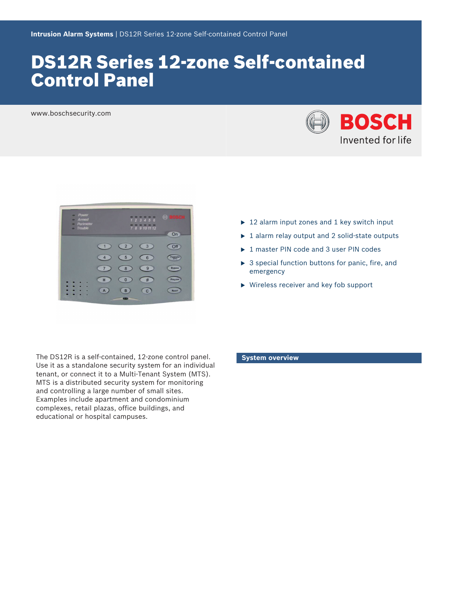# DS12R Series 12‑zone Self‑contained Control Panel

www.boschsecurity.com



| <b>Power</b><br>۰<br>Armed<br>۰<br>Perimeter<br>۰<br>- Trouble |                |                    | ۰<br>123456<br>7 8 9 10 11 12 | <b>BOSCH</b><br>On |
|----------------------------------------------------------------|----------------|--------------------|-------------------------------|--------------------|
|                                                                | 1              | $\overline{2}$     | 3                             | Off                |
|                                                                | $\overline{4}$ | 5                  | $6\phantom{1}6$               | Perimeter          |
|                                                                | 7              | 8                  | 9                             | <b>Bypass</b>      |
|                                                                | $\ast$         | $\bf{0}$           | #                             | Program            |
|                                                                | $\mathsf{A}$   | B<br><b>Called</b> | $\mathbf{C}$                  | <b>Reset</b>       |

- $\triangleright$  12 alarm input zones and 1 key switch input
- $\triangleright$  1 alarm relay output and 2 solid-state outputs
- $\triangleright$  1 master PIN code and 3 user PIN codes
- $\triangleright$  3 special function buttons for panic, fire, and emergency
- $\blacktriangleright$  Wireless receiver and key fob support

The DS12R is a self-contained, 12‑zone control panel. Use it as a standalone security system for an individual tenant, or connect it to a Multi-Tenant System (MTS). MTS is a distributed security system for monitoring and controlling a large number of small sites. Examples include apartment and condominium complexes, retail plazas, office buildings, and educational or hospital campuses.

#### **System overview**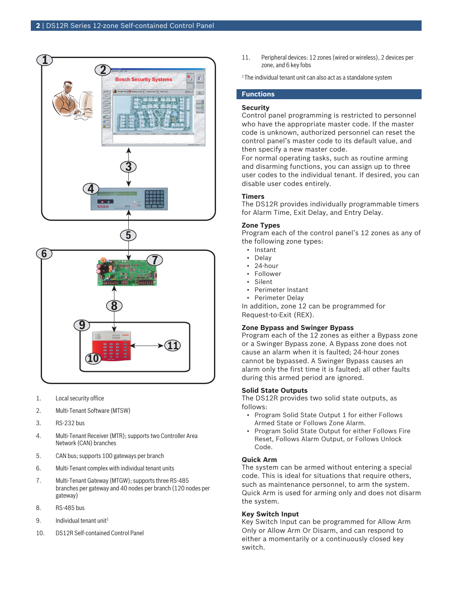

- 1. Local security office
- 2. Multi-Tenant Software (MTSW)
- 3. RS-232 bus
- 4. Multi-Tenant Receiver (MTR); supports two Controller Area Network (CAN) branches
- 5. CAN bus; supports 100 gateways per branch
- 6. Multi-Tenant complex with individual tenant units
- 7. Multi-Tenant Gateway (MTGW); supports three RS-485 branches per gateway and 40 nodes per branch (120 nodes per gateway)
- 8. RS-485 bus
- 9. Individual tenant unit<sup>1</sup>
- 10. DS12R Self-contained Control Panel

11. Peripheral devices: 12 zones (wired or wireless), 2 devices per zone, and 6 key fobs

 $1$ The individual tenant unit can also act as a standalone system

# **Functions**

# **Security**

Control panel programming is restricted to personnel who have the appropriate master code. If the master code is unknown, authorized personnel can reset the control panel's master code to its default value, and then specify a new master code.

For normal operating tasks, such as routine arming and disarming functions, you can assign up to three user codes to the individual tenant. If desired, you can disable user codes entirely.

# **Timers**

The DS12R provides individually programmable timers for Alarm Time, Exit Delay, and Entry Delay.

# **Zone Types**

Program each of the control panel's 12 zones as any of the following zone types:

- Instant
- Delay
- 24-hour
- Follower
- Silent
- Perimeter Instant
- Perimeter Delay

In addition, zone 12 can be programmed for Request-to-Exit (REX).

# **Zone Bypass and Swinger Bypass**

Program each of the 12 zones as either a Bypass zone or a Swinger Bypass zone. A Bypass zone does not cause an alarm when it is faulted; 24-hour zones cannot be bypassed. A Swinger Bypass causes an alarm only the first time it is faulted; all other faults during this armed period are ignored.

# **Solid State Outputs**

The DS12R provides two solid state outputs, as follows:

- Program Solid State Output 1 for either Follows Armed State or Follows Zone Alarm.
- Program Solid State Output for either Follows Fire Reset, Follows Alarm Output, or Follows Unlock Code.

# **Quick Arm**

The system can be armed without entering a special code. This is ideal for situations that require others, such as maintenance personnel, to arm the system. Quick Arm is used for arming only and does not disarm the system.

# **Key Switch Input**

Key Switch Input can be programmed for Allow Arm Only or Allow Arm Or Disarm, and can respond to either a momentarily or a continuously closed key switch.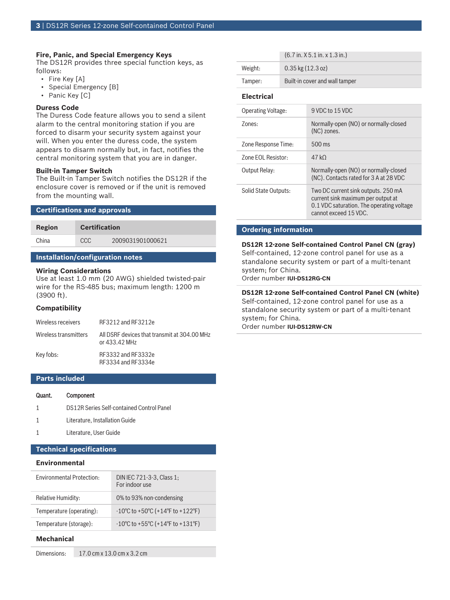# **Fire, Panic, and Special Emergency Keys**

The DS12R provides three special function keys, as follows:

- Fire Key [A]
- Special Emergency [B]
- Panic Key [C]

### **Duress Code**

The Duress Code feature allows you to send a silent alarm to the central monitoring station if you are forced to disarm your security system against your will. When you enter the duress code, the system appears to disarm normally but, in fact, notifies the central monitoring system that you are in danger.

#### **Built-in Tamper Switch**

The Built-in Tamper Switch notifies the DS12R if the enclosure cover is removed or if the unit is removed from the mounting wall.

### **Certifications and approvals**

| Region | <b>Certification</b> |                  |
|--------|----------------------|------------------|
| China  | CCC.                 | 2009031901000621 |
|        |                      |                  |

# **Installation/configuration notes**

### **Wiring Considerations**

Use at least 1.0 mm (20 AWG) shielded twisted-pair wire for the RS-485 bus; maximum length: 1200 m (3900 ft).

### **Compatibility**

| Wireless receivers    | RF3212 and RF3212e                                            |
|-----------------------|---------------------------------------------------------------|
| Wireless transmitters | All DSRF devices that transmit at 304.00 MHz<br>or 433.42 MHz |
| Key fobs:             | RF3332 and RF3332e<br>RF3334 and RF3334e                      |

# **Parts included**

#### Quant. Component

- 1 DS12R Series Self‑contained Control Panel
- 1 Literature, Installation Guide
- 1 Literature, User Guide

# **Technical specifications**

# **Environmental**

| <b>Environmental Protection:</b> | DIN IEC 721-3-3, Class 1;<br>For indoor use                                 |
|----------------------------------|-----------------------------------------------------------------------------|
| Relative Humidity:               | 0% to 93% non-condensing                                                    |
| Temperature (operating):         | $-10^{\circ}$ C to +50 $^{\circ}$ C (+14 $^{\circ}$ F to +122 $^{\circ}$ F) |
| Temperature (storage):           | $-10^{\circ}$ C to +55 $^{\circ}$ C (+14 $^{\circ}$ F to +131 $^{\circ}$ F) |

# **Mechanical**

Dimensions: 17.0 cm x 13.0 cm x 3.2 cm

|         | $(6.7$ in. $X$ 5.1 in. $x$ 1.3 in.) |  |
|---------|-------------------------------------|--|
| Weight: | $0.35$ kg $(12.3 \text{ oz})$       |  |
| Tamper: | Built-in cover and wall tamper      |  |

#### **Electrical**

| Operating Voltage:   | 9 VDC to 15 VDC                                                                                                                                 |
|----------------------|-------------------------------------------------------------------------------------------------------------------------------------------------|
| Zones:               | Normally-open (NO) or normally-closed<br>(NC) zones.                                                                                            |
| Zone Response Time:  | $500$ ms                                                                                                                                        |
| Zone EOL Resistor:   | 47 k $\Omega$                                                                                                                                   |
| Output Relay:        | Normally-open (NO) or normally-closed<br>(NC). Contacts rated for 3 A at 28 VDC                                                                 |
| Solid State Outputs: | Two DC current sink outputs. 250 mA<br>current sink maximum per output at<br>0.1 VDC saturation. The operating voltage<br>cannot exceed 15 VDC. |

# **Ordering information**

**DS12R 12-zone Self-contained Control Panel CN (gray)** Self-contained, 12-zone control panel for use as a standalone security system or part of a multi-tenant system; for China. Order number **IUI-DS12RG-CN**

**DS12R 12-zone Self-contained Control Panel CN (white)** Self-contained, 12-zone control panel for use as a standalone security system or part of a multi-tenant system; for China. Order number **IUI-DS12RW-CN**